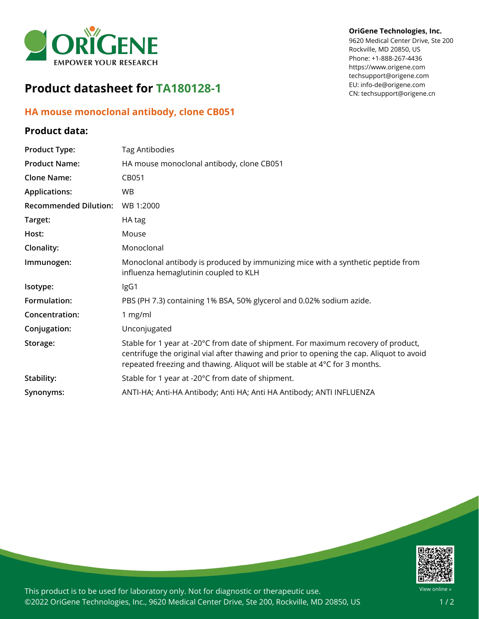

# **Product datasheet for TA180128-1**

## **HA mouse monoclonal antibody, clone CB051**

### **Product data:**

#### **OriGene Technologies, Inc.**

9620 Medical Center Drive, Ste 200 Rockville, MD 20850, US Phone: +1-888-267-4436 https://www.origene.com techsupport@origene.com EU: info-de@origene.com CN: techsupport@origene.cn

| <b>Product Type:</b>         | <b>Tag Antibodies</b>                                                                                                                                                                                                                                         |
|------------------------------|---------------------------------------------------------------------------------------------------------------------------------------------------------------------------------------------------------------------------------------------------------------|
| <b>Product Name:</b>         | HA mouse monoclonal antibody, clone CB051                                                                                                                                                                                                                     |
| <b>Clone Name:</b>           | CB051                                                                                                                                                                                                                                                         |
| <b>Applications:</b>         | WB.                                                                                                                                                                                                                                                           |
| <b>Recommended Dilution:</b> | WB 1:2000                                                                                                                                                                                                                                                     |
| Target:                      | HA tag                                                                                                                                                                                                                                                        |
| Host:                        | Mouse                                                                                                                                                                                                                                                         |
| Clonality:                   | Monoclonal                                                                                                                                                                                                                                                    |
| Immunogen:                   | Monoclonal antibody is produced by immunizing mice with a synthetic peptide from<br>influenza hemaglutinin coupled to KLH                                                                                                                                     |
| Isotype:                     | IgG1                                                                                                                                                                                                                                                          |
| Formulation:                 | PBS (PH 7.3) containing 1% BSA, 50% glycerol and 0.02% sodium azide.                                                                                                                                                                                          |
| Concentration:               | 1 mg/ml                                                                                                                                                                                                                                                       |
| Conjugation:                 | Unconjugated                                                                                                                                                                                                                                                  |
| Storage:                     | Stable for 1 year at -20°C from date of shipment. For maximum recovery of product,<br>centrifuge the original vial after thawing and prior to opening the cap. Aliquot to avoid<br>repeated freezing and thawing. Aliquot will be stable at 4°C for 3 months. |
| Stability:                   | Stable for 1 year at -20°C from date of shipment.                                                                                                                                                                                                             |
| Synonyms:                    | ANTI-HA; Anti-HA Antibody; Anti HA; Anti HA Antibody; ANTI INFLUENZA                                                                                                                                                                                          |



This product is to be used for laboratory only. Not for diagnostic or therapeutic use. ©2022 OriGene Technologies, Inc., 9620 Medical Center Drive, Ste 200, Rockville, MD 20850, US